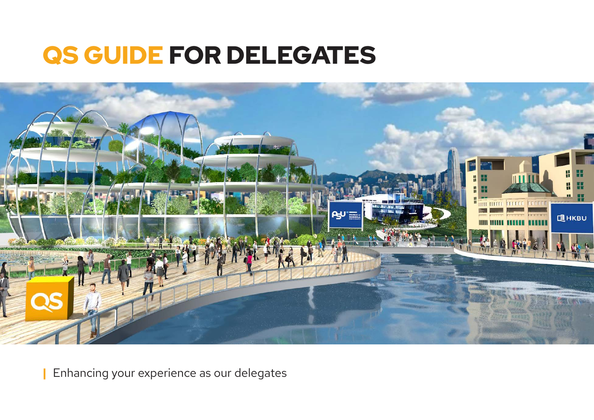# QS GUIDE FOR DELEGATES



**|** Enhancing your experience as our delegates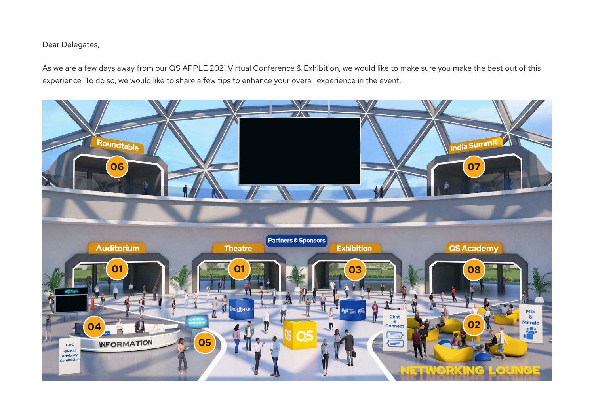#### Dear Delegates,

As we are a few days away from our QS APPLE 2021 Virtual Conference & Exhibition, we would like to make sure you make the best out of this experience. To do so, we would like to share a few tips to enhance your overall experience in the event.

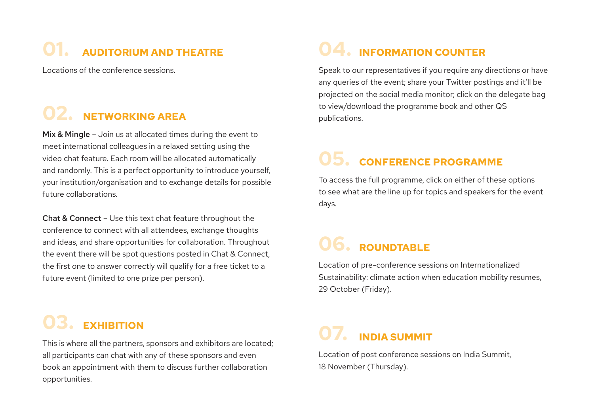# **01. AUDITORIUM AND THEATRE**

Locations of the conference sessions.

## **02. NETWORKING AREA**

Mix & Mingle - Join us at allocated times during the event to meet international colleagues in a relaxed setting using the video chat feature. Each room will be allocated automatically and randomly. This is a perfect opportunity to introduce yourself, your institution/organisation and to exchange details for possible future collaborations.

Chat & Connect – Use this text chat feature throughout the conference to connect with all attendees, exchange thoughts and ideas, and share opportunities for collaboration. Throughout the event there will be spot questions posted in Chat & Connect, the first one to answer correctly will qualify for a free ticket to a future event (limited to one prize per person).

**03. EXHIBITION**

all participants can chat with any of these sponsors and even book an appointment with them to discuss further collaboration opportunities.

### **04. INFORMATION COUNTER**

Speak to our representatives if you require any directions or have any queries of the event; share your Twitter postings and it'll be projected on the social media monitor; click on the delegate bag to view/download the programme book and other QS publications.

### **05. CONFERENCE PROGRAMME**

To access the full programme, click on either of these options to see what are the line up for topics and speakers for the event days.

### **06. ROUNDTABLE**

Location of pre-conference sessions on Internationalized Sustainability: climate action when education mobility resumes, 29 October (Friday).

# **1988 • CALID LICK**<br>This is where all the partners, sponsors and exhibitors are located;<br> $\overline{O7}$ . **INDIA SUMMIT**

Location of post conference sessions on India Summit, 18 November (Thursday).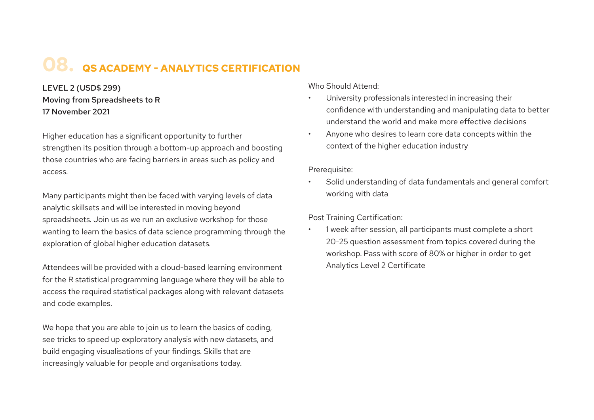### **08. QS ACADEMY - ANALYTICS CERTIFICATION**

LEVEL 2 (USD\$ 299) Moving from Spreadsheets to R 17 November 2021

Higher education has a significant opportunity to further strengthen its position through a bottom-up approach and boosting those countries who are facing barriers in areas such as policy and access.

Many participants might then be faced with varying levels of data analytic skillsets and will be interested in moving beyond spreadsheets. Join us as we run an exclusive workshop for those wanting to learn the basics of data science programming through the exploration of global higher education datasets.

Attendees will be provided with a cloud-based learning environment for the R statistical programming language where they will be able to access the required statistical packages along with relevant datasets and code examples.

We hope that you are able to join us to learn the basics of coding, see tricks to speed up exploratory analysis with new datasets, and build engaging visualisations of your findings. Skills that are increasingly valuable for people and organisations today.

Who Should Attend:

- University professionals interested in increasing their confidence with understanding and manipulating data to better understand the world and make more effective decisions
- Anyone who desires to learn core data concepts within the context of the higher education industry

Prerequisite:

Solid understanding of data fundamentals and general comfort working with data

Post Training Certification:

1 week after session, all participants must complete a short 20-25 question assessment from topics covered during the workshop. Pass with score of 80% or higher in order to get Analytics Level 2 Certificate